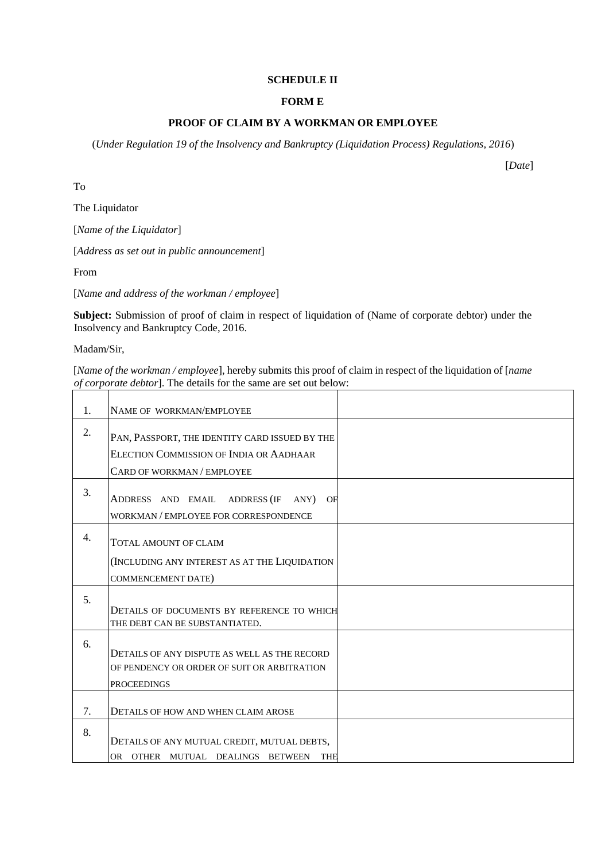## **SCHEDULE II**

# **FORM E**

## **PROOF OF CLAIM BY A WORKMAN OR EMPLOYEE**

(*Under Regulation 19 of the Insolvency and Bankruptcy (Liquidation Process) Regulations, 2016*)

To

The Liquidator

[*Name of the Liquidator*]

[*Address as set out in public announcement*]

From

[*Name and address of the workman / employee*]

**Subject:** Submission of proof of claim in respect of liquidation of (Name of corporate debtor) under the Insolvency and Bankruptcy Code, 2016.

Madam/Sir,

[*Name of the workman / employee*], hereby submits this proof of claim in respect of the liquidation of [*name of corporate debtor*]. The details for the same are set out below:

| 1. | NAME OF WORKMAN/EMPLOYEE                       |  |
|----|------------------------------------------------|--|
| 2. |                                                |  |
|    | PAN, PASSPORT, THE IDENTITY CARD ISSUED BY THE |  |
|    | ELECTION COMMISSION OF INDIA OR AADHAAR        |  |
|    | CARD OF WORKMAN / EMPLOYEE                     |  |
| 3. |                                                |  |
|    | ADDRESS AND EMAIL ADDRESS (IF ANY) OF          |  |
|    | WORKMAN / EMPLOYEE FOR CORRESPONDENCE          |  |
| 4. |                                                |  |
|    | TOTAL AMOUNT OF CLAIM                          |  |
|    | (INCLUDING ANY INTEREST AS AT THE LIQUIDATION  |  |
|    | <b>COMMENCEMENT DATE)</b>                      |  |
| 5. |                                                |  |
|    | DETAILS OF DOCUMENTS BY REFERENCE TO WHICH     |  |
|    | THE DEBT CAN BE SUBSTANTIATED.                 |  |
| 6. |                                                |  |
|    | DETAILS OF ANY DISPUTE AS WELL AS THE RECORD   |  |
|    | OF PENDENCY OR ORDER OF SUIT OR ARBITRATION    |  |
|    | <b>PROCEEDINGS</b>                             |  |
|    |                                                |  |
| 7. | <b>DETAILS OF HOW AND WHEN CLAIM AROSE</b>     |  |
| 8. |                                                |  |
|    | DETAILS OF ANY MUTUAL CREDIT, MUTUAL DEBTS,    |  |
|    | OR OTHER MUTUAL DEALINGS BETWEEN<br><b>THE</b> |  |

[*Date*]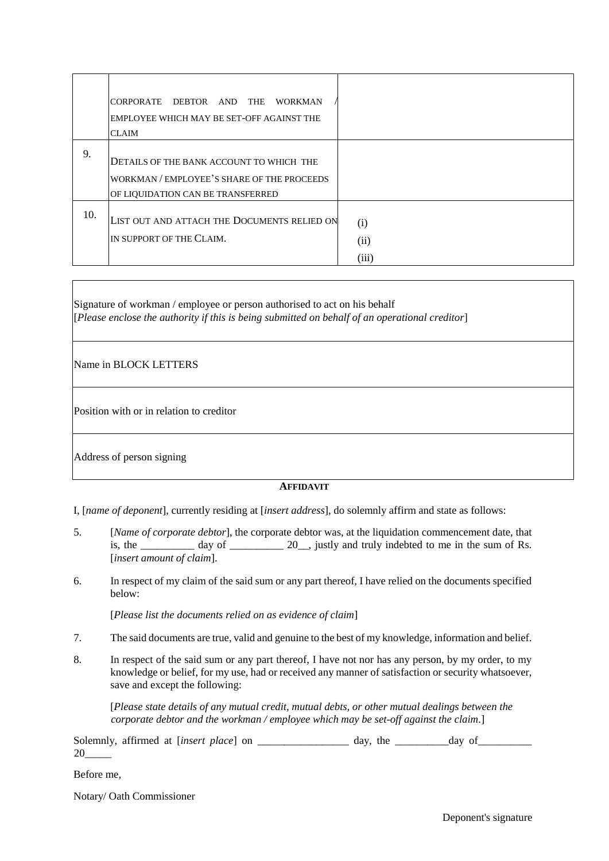|     | CORPORATE DEBTOR AND<br>THE<br><b>WORKMAN</b><br>EMPLOYEE WHICH MAY BE SET-OFF AGAINST THE<br><b>CLAIM</b>                  |                      |
|-----|-----------------------------------------------------------------------------------------------------------------------------|----------------------|
| 9.  | DETAILS OF THE BANK ACCOUNT TO WHICH THE<br>WORKMAN / EMPLOYEE'S SHARE OF THE PROCEEDS<br>OF LIQUIDATION CAN BE TRANSFERRED |                      |
| 10. | LIST OUT AND ATTACH THE DOCUMENTS RELIED ON<br>IN SUPPORT OF THE CLAIM.                                                     | (i)<br>(ii)<br>(iii) |

Signature of workman / employee or person authorised to act on his behalf [*Please enclose the authority if this is being submitted on behalf of an operational creditor*]

Name in BLOCK LETTERS

Position with or in relation to creditor

Address of person signing

# **AFFIDAVIT**

I, [*name of deponent*], currently residing at [*insert address*], do solemnly affirm and state as follows:

- 5. [*Name of corporate debtor*], the corporate debtor was, at the liquidation commencement date, that is, the \_\_\_\_\_\_\_\_ day of \_\_\_\_\_\_\_\_\_ 20\_, justly and truly indebted to me in the sum of Rs. [*insert amount of claim*].
- 6. In respect of my claim of the said sum or any part thereof, I have relied on the documents specified below:

[*Please list the documents relied on as evidence of claim*]

- 7. The said documents are true, valid and genuine to the best of my knowledge, information and belief.
- 8. In respect of the said sum or any part thereof, I have not nor has any person, by my order, to my knowledge or belief, for my use, had or received any manner of satisfaction or security whatsoever, save and except the following:

[*Please state details of any mutual credit, mutual debts, or other mutual dealings between the corporate debtor and the workman / employee which may be set-off against the claim*.]

Solemnly, affirmed at [*insert place*] on \_\_\_\_\_\_\_\_\_\_\_\_\_\_\_ day, the \_\_\_\_\_\_\_\_\_ day of\_\_\_\_\_\_\_\_\_\_\_\_\_\_\_\_\_ 20\_\_\_\_\_

Before me,

Notary/ Oath Commissioner